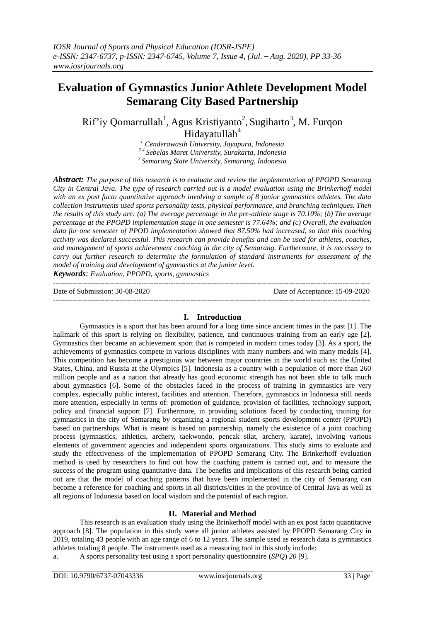# **Evaluation of Gymnastics Junior Athlete Development Model Semarang City Based Partnership**

Rif'iy Qomarrullah<sup>1</sup>, Agus Kristiyanto<sup>2</sup>, Sugiharto<sup>3</sup>, M. Furqon Hidayatullah<sup>4</sup>

*<sup>1</sup> Cenderawasih University, Jayapura, Indonesia 2 4 Sebelas Maret University, Surakarta, Indonesia <sup>3</sup>Semarang State University, Semarang, Indonesia*

*Abstract: The purpose of this research is to evaluate and review the implementation of PPOPD Semarang City in Central Java. The type of research carried out is a model evaluation using the Brinkerhoff model with an ex post facto quantitative approach involving a sample of 8 junior gymnastics athletes. The data collection instruments used sports personality tests, physical performance, and branching techniques. Then the results of this study are: (a) The average percentage in the pre-athlete stage is 70.10%; (b) The average percentage at the PPOPD implementation stage in one semester is 77.64%; and (c) Overall, the evaluation data for one semester of PPOD implementation showed that 87.50% had increased, so that this coaching activity was declared successful. This research can provide benefits and can be used for athletes, coaches, and management of sports achievement coaching in the city of Semarang. Furthermore, it is necessary to carry out further research to determine the formulation of standard instruments for assessment of the model of training and development of gymnastics at the junior level.*

*Keywords: Evaluation, PPOPD, sports, gymnastics* ---------------------------------------------------------------------------------------------------------------------------------

Date of Submission: 30-08-2020 Date of Acceptance: 15-09-2020

# **I. Introduction**

---------------------------------------------------------------------------------------------------------------------------------

Gymnastics is a sport that has been around for a long time since ancient times in the past [1]. The hallmark of this sport is relying on flexibility, patience, and continuous training from an early age [2]. Gymnastics then became an achievement sport that is competed in modern times today [3]. As a sport, the achievements of gymnastics compete in various disciplines with many numbers and win many medals [4]. This competition has become a prestigious war between major countries in the world such as: the United States, China, and Russia at the Olympics [5]. Indonesia as a country with a population of more than 260 million people and as a nation that already has good economic strength has not been able to talk much about gymnastics [6]. Some of the obstacles faced in the process of training in gymnastics are very complex, especially public interest, facilities and attention. Therefore, gymnastics in Indonesia still needs more attention, especially in terms of: promotion of guidance, provision of facilities, technology support, policy and financial support [7]. Furthermore, in providing solutions faced by conducting training for gymnastics in the city of Semarang by organizing a regional student sports development center (PPOPD) based on partnerships. What is meant is based on partnership, namely the existence of a joint coaching process (gymnastics, athletics, archery, taekwondo, pencak silat, archery, karate), involving various elements of government agencies and independent sports organizations. This study aims to evaluate and study the effectiveness of the implementation of PPOPD Semarang City. The Brinkerhoff evaluation method is used by researchers to find out how the coaching pattern is carried out, and to measure the success of the program using quantitative data. The benefits and implications of this research being carried out are that the model of coaching patterns that have been implemented in the city of Semarang can become a reference for coaching and sports in all districts/cities in the province of Central Java as well as all regions of Indonesia based on local wisdom and the potential of each region.

## **II. Material and Method**

This research is an evaluation study using the Brinkerhoff model with an ex post facto quantitative approach [8]. The population in this study were all junior athletes assisted by PPOPD Semarang City in 2019, totaling 43 people with an age range of 6 to 12 years. The sample used as research data is gymnastics athletes totaling 8 people. The instruments used as a measuring tool in this study include:

a. A sports personality test using a sport personality questionnaire (*SPQ*) *20* [9]*.*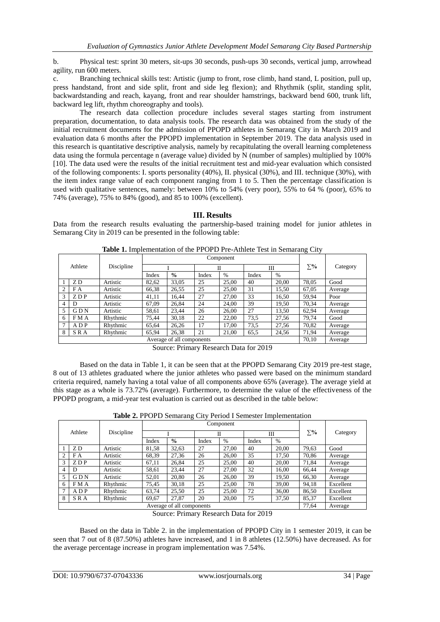b. Physical test: sprint 30 meters, sit-ups 30 seconds, push-ups 30 seconds, vertical jump, arrowhead agility, run 600 meters.

c. Branching technical skills test: Artistic (jump to front, rose climb, hand stand, L position, pull up, press handstand, front and side split, front and side leg flexion); and Rhythmik (split, standing split, backwardstanding and reach, kayang, front and rear shoulder hamstrings, backward bend 600, trunk lift, backward leg lift, rhythm choreography and tools).

The research data collection procedure includes several stages starting from instrument preparation, documentation, to data analysis tools. The research data was obtained from the study of the initial recruitment documents for the admission of PPOPD athletes in Semarang City in March 2019 and evaluation data 6 months after the PPOPD implementation in September 2019. The data analysis used in this research is quantitative descriptive analysis, namely by recapitulating the overall learning completeness data using the formula percentage n (average value) divided by N (number of samples) multiplied by 100% [10]. The data used were the results of the initial recruitment test and mid-year evaluation which consisted of the following components: I. sports personality (40%), II. physical (30%), and III. technique (30%), with the item index range value of each component ranging from 1 to 5. Then the percentage classification is used with qualitative sentences, namely: between 10% to 54% (very poor), 55% to 64 % (poor), 65% to 74% (average), 75% to 84% (good), and 85 to 100% (excellent).

**III. Results**

Data from the research results evaluating the partnership-based training model for junior athletes in Semarang City in 2019 can be presented in the following table:

| Athlete                   |            | Discipline | Component |               |       |       |       |       | $\circ$   |          |
|---------------------------|------------|------------|-----------|---------------|-------|-------|-------|-------|-----------|----------|
|                           |            |            |           |               | П     |       | Ш     |       | $\Sigma%$ | Category |
|                           |            |            | Index     | $\frac{0}{0}$ | Index | $\%$  | Index | $\%$  |           |          |
|                           | ZD         | Artistic   | 82,62     | 33,05         | 25    | 25,00 | 40    | 20.00 | 78,05     | Good     |
| $\mathcal{L}$             | F A        | Artistic   | 66,38     | 26,55         | 25    | 25,00 | 31    | 15,50 | 67,05     | Average  |
| 3                         | ZDP        | Artistic   | 41,11     | 16.44         | 27    | 27.00 | 33    | 16,50 | 59.94     | Poor     |
| 4                         | D          | Artistic   | 67,09     | 26,84         | 24    | 24.00 | 39    | 19,50 | 70,34     | Average  |
| 5                         | <b>GDN</b> | Artistic   | 58,61     | 23,44         | 26    | 26,00 | 27    | 13,50 | 62.94     | Average  |
| 6                         | FMA        | Rhythmic   | 75,44     | 30,18         | 22    | 22.00 | 73,5  | 27,56 | 79,74     | Good     |
| $\mathcal{I}$             | ADP        | Rhythmic   | 65,64     | 26.26         | 17    | 17.00 | 73,5  | 27,56 | 70,82     | Average  |
| 8                         | <b>SRA</b> | Rhythmic   | 65,94     | 26,38         | 21    | 21,00 | 65,5  | 24,56 | 71,94     | Average  |
| Average of all components |            |            |           |               |       |       |       |       | 70,10     | Average  |

**Table 1.** Implementation of the PPOPD Pre-Athlete Test in Semarang City

Source: Primary Research Data for 2019

Based on the data in Table 1, it can be seen that at the PPOPD Semarang City 2019 pre-test stage, 8 out of 13 athletes graduated where the junior athletes who passed were based on the minimum standard criteria required, namely having a total value of all components above 65% (average). The average yield at this stage as a whole is 73.72% (average). Furthermore, to determine the value of the effectiveness of the PPOPD program, a mid-year test evaluation is carried out as described in the table below:

**Table 2.** PPOPD Semarang City Period I Semester Implementation

| <b>TWORE SETT OF D'OUTROUGHT ONLY I CHOG I DOMICOUL IMPREMENTATION</b> |            |            |           |               |       |               |       |       |           |           |
|------------------------------------------------------------------------|------------|------------|-----------|---------------|-------|---------------|-------|-------|-----------|-----------|
| Athlete                                                                |            | Discipline | Component |               |       |               |       |       |           |           |
|                                                                        |            |            |           |               | П     |               | Ш     |       | $\Sigma%$ | Category  |
|                                                                        |            |            | Index     | $\frac{0}{0}$ | Index | $\frac{0}{0}$ | Index | $\%$  |           |           |
|                                                                        | ZD         | Artistic   | 81,58     | 32,63         | 27    | 27,00         | 40    | 20,00 | 79,63     | Good      |
|                                                                        | F A        | Artistic   | 68,39     | 27,36         | 26    | 26,00         | 35    | 17.50 | 70,86     | Average   |
| 3                                                                      | ZDP        | Artistic   | 67,11     | 26,84         | 25    | 25,00         | 40    | 20.00 | 71,84     | Average   |
|                                                                        | D          | Artistic   | 58,61     | 23,44         | 27    | 27,00         | 32    | 16,00 | 66,44     | Average   |
| 5                                                                      | <b>GDN</b> | Artistic   | 52,01     | 20,80         | 26    | 26.00         | 39    | 19.50 | 66,30     | Average   |
| 6                                                                      | FMA        | Rhythmic   | 75,45     | 30,18         | 25    | 25,00         | 78    | 39.00 | 94,18     | Excellent |
|                                                                        | ADP        | Rhythmic   | 63,74     | 25,50         | 25    | 25,00         | 72    | 36,00 | 86,50     | Excellent |
| 8                                                                      | SRA        | Rhythmic   | 69,67     | 27.87         | 20    | 20,00         | 75    | 37.50 | 85,37     | Excellent |
| Average of all components                                              |            |            |           |               |       |               |       |       | 77.64     | Average   |

Source: Primary Research Data for 2019

Based on the data in Table 2. in the implementation of PPOPD City in 1 semester 2019, it can be seen that 7 out of 8 (87.50%) athletes have increased, and 1 in 8 athletes (12.50%) have decreased. As for the average percentage increase in program implementation was 7.54%.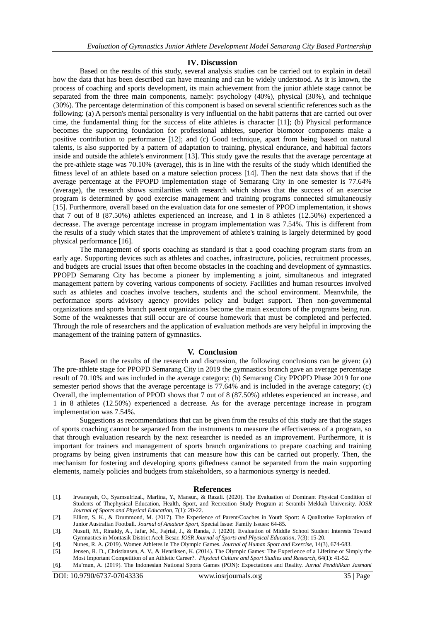## **IV. Discussion**

Based on the results of this study, several analysis studies can be carried out to explain in detail how the data that has been described can have meaning and can be widely understood. As it is known, the process of coaching and sports development, its main achievement from the junior athlete stage cannot be separated from the three main components, namely: psychology (40%), physical (30%), and technique (30%). The percentage determination of this component is based on several scientific references such as the following: (a) A person's mental personality is very influential on the habit patterns that are carried out over time, the fundamental thing for the success of elite athletes is character [11]; (b) Physical performance becomes the supporting foundation for professional athletes, superior biomotor components make a positive contribution to performance [12]; and (c) Good technique, apart from being based on natural talents, is also supported by a pattern of adaptation to training, physical endurance, and habitual factors inside and outside the athlete's environment [13]. This study gave the results that the average percentage at the pre-athlete stage was 70.10% (average), this is in line with the results of the study which identified the fitness level of an athlete based on a mature selection process [14]. Then the next data shows that if the average percentage at the PPOPD implementation stage of Semarang City in one semester is 77.64% (average), the research shows similarities with research which shows that the success of an exercise program is determined by good exercise management and training programs connected simultaneously [15]. Furthermore, overall based on the evaluation data for one semester of PPOD implementation, it shows that 7 out of 8 (87.50%) athletes experienced an increase, and 1 in 8 athletes (12.50%) experienced a decrease. The average percentage increase in program implementation was 7.54%. This is different from the results of a study which states that the improvement of athlete's training is largely determined by good physical performance [16].

The management of sports coaching as standard is that a good coaching program starts from an early age. Supporting devices such as athletes and coaches, infrastructure, policies, recruitment processes, and budgets are crucial issues that often become obstacles in the coaching and development of gymnastics. PPOPD Semarang City has become a pioneer by implementing a joint, simultaneous and integrated management pattern by covering various components of society. Facilities and human resources involved such as athletes and coaches involve teachers, students and the school environment. Meanwhile, the performance sports advisory agency provides policy and budget support. Then non-governmental organizations and sports branch parent organizations become the main executors of the programs being run. Some of the weaknesses that still occur are of course homework that must be completed and perfected. Through the role of researchers and the application of evaluation methods are very helpful in improving the management of the training pattern of gymnastics.

### **V. Conclusion**

Based on the results of the research and discussion, the following conclusions can be given: (a) The pre-athlete stage for PPOPD Semarang City in 2019 the gymnastics branch gave an average percentage result of 70.10% and was included in the average category; (b) Semarang City PPOPD Phase 2019 for one semester period shows that the average percentage is 77.64% and is included in the average category; (c) Overall, the implementation of PPOD shows that 7 out of 8 (87.50%) athletes experienced an increase, and 1 in 8 athletes (12.50%) experienced a decrease. As for the average percentage increase in program implementation was 7.54%.

Suggestions as recommendations that can be given from the results of this study are that the stages of sports coaching cannot be separated from the instruments to measure the effectiveness of a program, so that through evaluation research by the next researcher is needed as an improvement. Furthermore, it is important for trainers and management of sports branch organizations to prepare coaching and training programs by being given instruments that can measure how this can be carried out properly. Then, the mechanism for fostering and developing sports giftedness cannot be separated from the main supporting elements, namely policies and budgets from stakeholders, so a harmonious synergy is needed.

#### **References**

[1]. Irwansyah, O., Syamsulrizal., Marlina, Y., Mansur., & Razali. (2020). The Evaluation of Dominant Physical Condition of Students of Thephysical Education, Health, Sport, and Recreation Study Program at Serambi Mekkah University. *IOSR Journal of Sports and Physical Education*, 7(1): 20-22.

- [4]. Nunes, R. A. (2019). Women Athletes in The Olympic Games. *Journal of Human Sport and Exercise*, 14(3), 674-683.
- [5]. Jensen, R. D., Christiansen, A. V., & Henriksen, K. (2014). The Olympic Games: The Experience of a Lifetime or Simply the Most Important Competition of an Athletic Career?. *Physical Culture and Sport Studies and Research*, 64(1): 41-52.
- [6]. Ma'mun, A. (2019). The Indonesian National Sports Games (PON): Expectations and Reality. *Jurnal Pendidikan Jasmani*

<sup>[2].</sup> Elliott, S. K., & Drummond, M. (2017). The Experience of Parent/Coaches in Youth Sport: A Qualitative Exploration of Junior Australian Football. *Journal of Amateur Sport*, Special Issue: Family Issues: 64-85.

<sup>[3].</sup> Nusufi, M., Rinaldy, A., Jafar, M., Fajrial, J., & Randa, J. (2020). Evaluation of Middle School Student Interests Toward Gymnastics in Montasik District Aceh Besar. *IOSR Journal of Sports and Physical Education*, 7(3): 15-20.